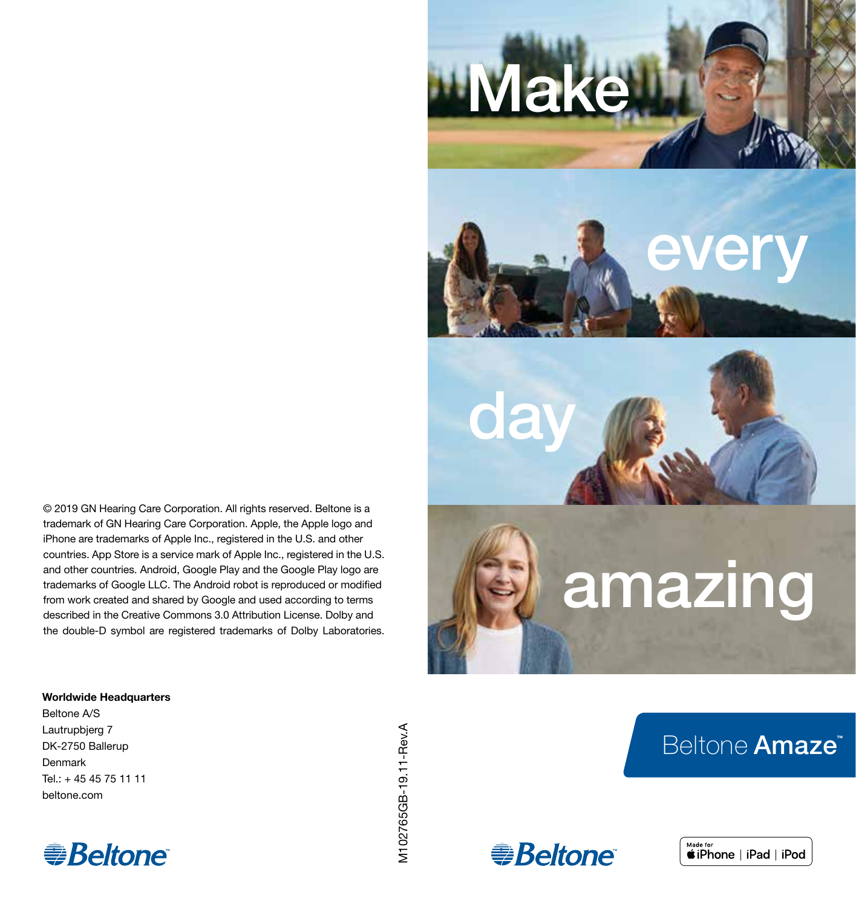

**Make** 

# amazing

# Beltone Amaze<sup>™</sup>





© 2019 GN Hearing Care Corporation. All rights reserved. Beltone is a trademark of GN Hearing Care Corporation. Apple, the Apple logo and iPhone are trademarks of Apple Inc., registered in the U.S. and other countries. App Store is a service mark of Apple Inc., registered in the U.S. and other countries. Android, Google Play and the Google Play logo are trademarks of Google LLC. The Android robot is reproduced or modified from work created and shared by Google and used according to terms described in the Creative Commons 3.0 Attribution License. Dolby and the double-D symbol are registered trademarks of Dolby Laboratories.

#### Worldwide Headquarters

Beltone A/S Lautrupbjerg 7 DK-2750 Ballerup Denmark  $Tel: + 45455751111$ beltone.com



V102765GB-19.11-Rev.A M102765GB-19.11-Rev.A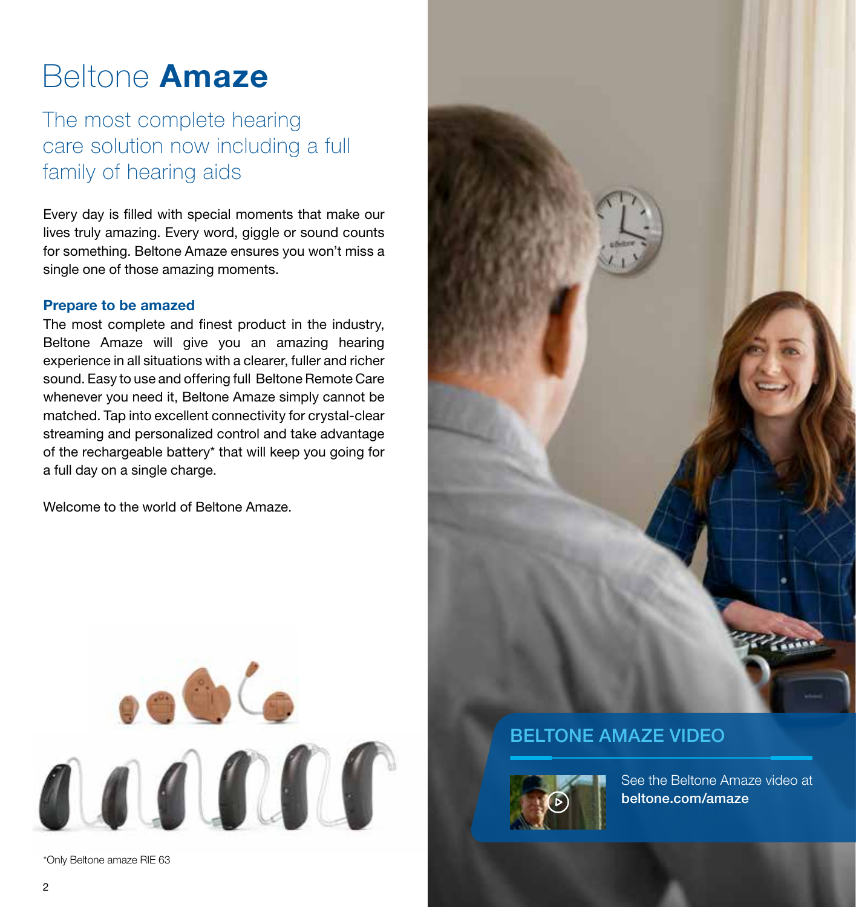# Beltone Amaze

The most complete hearing care solution now including a full family of hearing aids

Every day is filled with special moments that make our lives truly amazing. Every word, giggle or sound counts for something. Beltone Amaze ensures you won't miss a single one of those amazing moments.

#### Prepare to be amazed

The most complete and finest product in the industry, Beltone Amaze will give you an amazing hearing experience in all situations with a clearer, fuller and richer sound. Easy to use and offering full Beltone Remote Care whenever you need it, Beltone Amaze simply cannot be matched. Tap into excellent connectivity for crystal-clear streaming and personalized control and take advantage of the rechargeable battery\* that will keep you going for a full day on a single charge.

Welcome to the world of Beltone Amaze.



\*Only Beltone amaze RIE 63



## BELTONE AMAZE VIDEO



See the Beltone Amaze video at beltone.com/amaze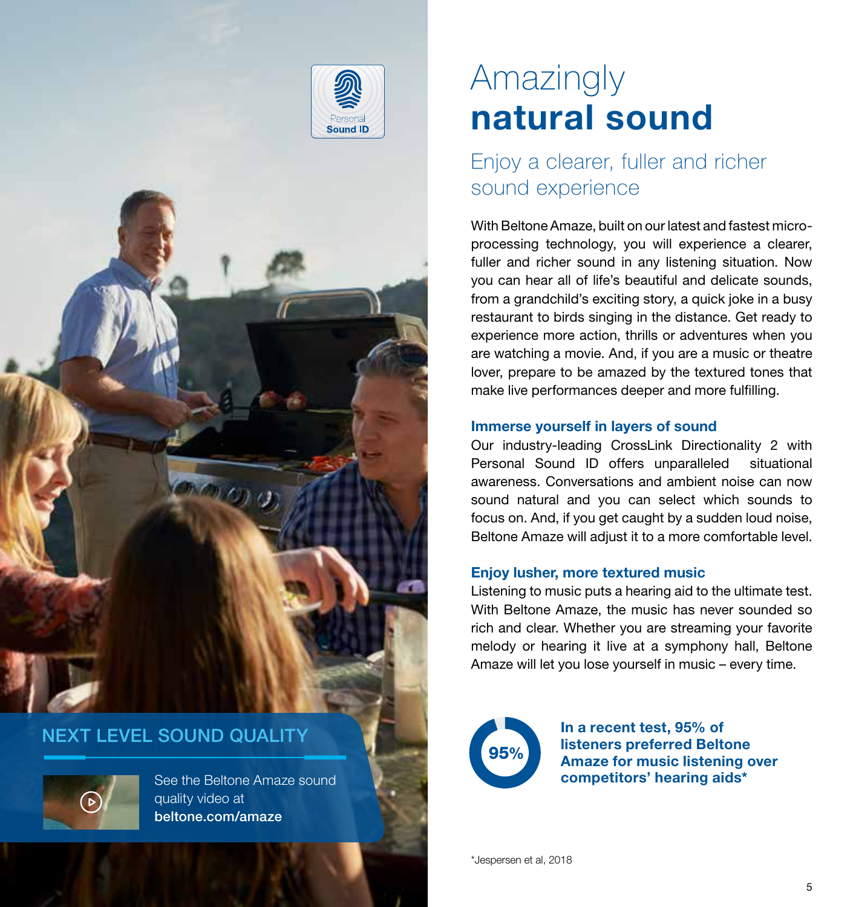

### NEXT LEVEL SOUND QUALITY

See the Beltone Amaze sound quality video at beltone.com/amaze

# Amazingly natural sound

# Enjoy a clearer, fuller and richer sound experience

With Beltone Amaze, built on our latest and fastest microprocessing technology, you will experience a clearer, fuller and richer sound in any listening situation. Now you can hear all of life's beautiful and delicate sounds, from a grandchild's exciting story, a quick joke in a busy restaurant to birds singing in the distance. Get ready to experience more action, thrills or adventures when you are watching a movie. And, if you are a music or theatre lover, prepare to be amazed by the textured tones that make live performances deeper and more fulfilling.

#### Immerse yourself in layers of sound

Our industry-leading CrossLink Directionality 2 with Personal Sound ID offers unparalleled situational awareness. Conversations and ambient noise can now sound natural and you can select which sounds to focus on. And, if you get caught by a sudden loud noise, Beltone Amaze will adjust it to a more comfortable level.

#### Enjoy lusher, more textured music

Listening to music puts a hearing aid to the ultimate test. With Beltone Amaze, the music has never sounded so rich and clear. Whether you are streaming your favorite melody or hearing it live at a symphony hall, Beltone Amaze will let you lose yourself in music – every time.



In a recent test, 95% of listeners preferred Beltone Amaze for music listening over competitors' hearing aids\*

\*Jespersen et al, 2018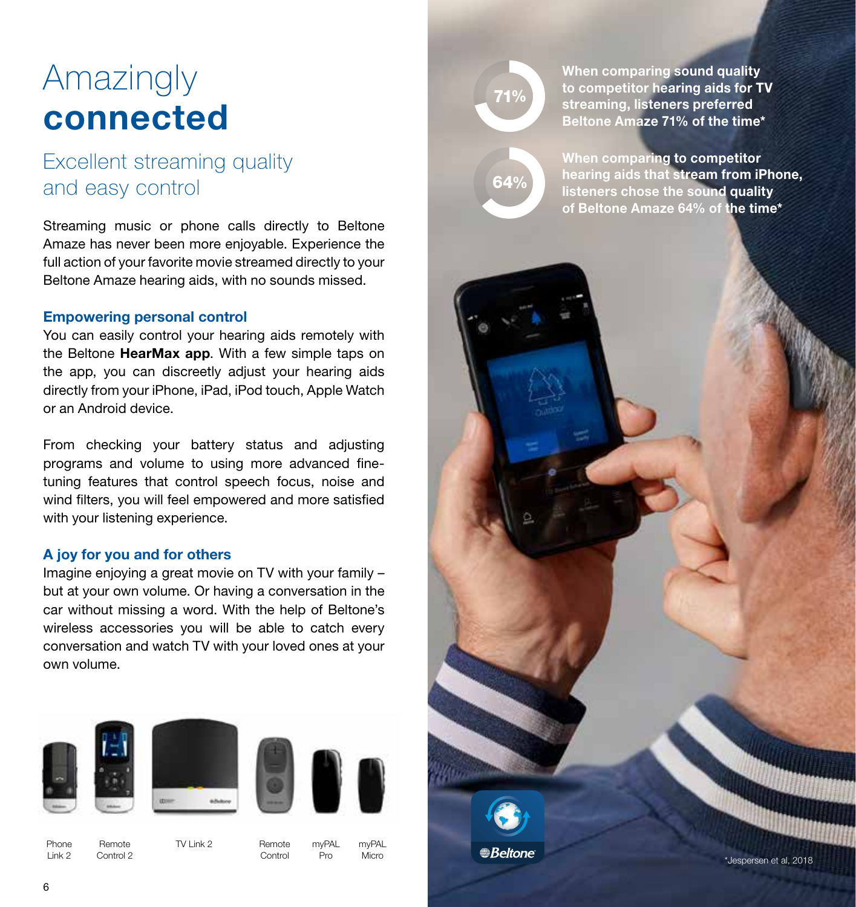# Amazingly connected

# Excellent streaming quality and easy control

Streaming music or phone calls directly to Beltone Amaze has never been more enjoyable. Experience the full action of your favorite movie streamed directly to your Beltone Amaze hearing aids, with no sounds missed.

#### Empowering personal control

You can easily control your hearing aids remotely with the Beltone HearMax app. With a few simple taps on the app, you can discreetly adjust your hearing aids directly from your iPhone, iPad, iPod touch, Apple Watch or an Android device.

From checking your battery status and adjusting programs and volume to using more advanced finetuning features that control speech focus, noise and wind filters, you will feel empowered and more satisfied with your listening experience.

#### A joy for you and for others

Imagine enjoying a great movie on TV with your family – but at your own volume. Or having a conversation in the car without missing a word. With the help of Beltone's wireless accessories you will be able to catch every conversation and watch TV with your loved ones at your own volume.



Phone Link 2

Control 2

Remote TV Link 2

Remote

Control

myPAL Pro myPAL Micro 71%

64%

When comparing sound quality to competitor hearing aids for TV streaming, listeners preferred Beltone Amaze 71% of the time\*

When comparing to competitor hearing aids that stream from iPhone, listeners chose the sound quality of Beltone Amaze 64% of the time\*

**Beltone** \*Jespersen et al, 2018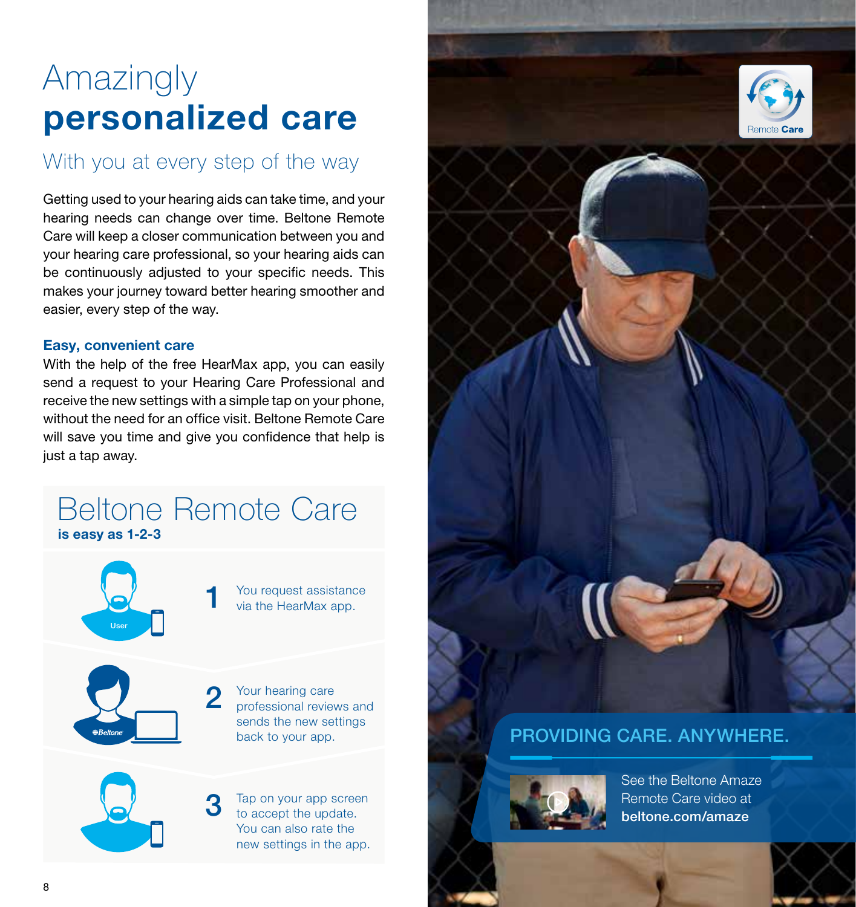# Amazingly personalized care

# With you at every step of the way

Getting used to your hearing aids can take time, and your hearing needs can change over time. Beltone Remote Care will keep a closer communication between you and your hearing care professional, so your hearing aids can be continuously adjusted to your specific needs. This makes your journey toward better hearing smoother and easier, every step of the way.

#### Easy, convenient care

With the help of the free HearMax app, you can easily send a request to your Hearing Care Professional and receive the new settings with a simple tap on your phone, without the need for an office visit. Beltone Remote Care will save you time and give you confidence that help is just a tap away.

## Beltone Remote Care is easy as 1-2-3

3



You request assistance<br>via the HearMax app.

Your hearing care professional reviews and sends the new settings back to your app. 2



Tap on your app screen to accept the update. You can also rate the new settings in the app.



## PROVIDING CARE. ANYWHERE.



See the Beltone Amaze Remote Care video at beltone.com/amaze